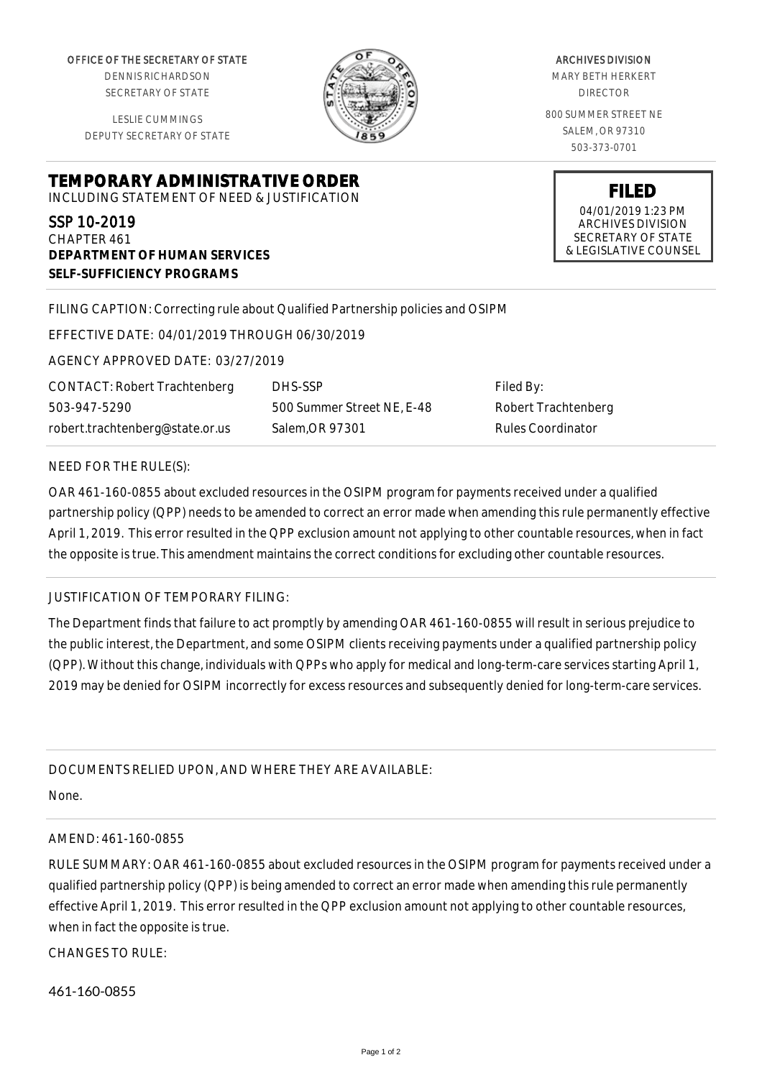OFFICE OF THE SECRETARY OF STATE

DENNIS RICHARDSON SECRETARY OF STATE

LESLIE CUMMINGS DEPUTY SECRETARY OF STATE



ARCHIVES DIVISION MARY BETH HERKERT DIRECTOR 800 SUMMER STREET NE SALEM, OR 97310 503-373-0701

> **FILED** 04/01/2019 1:23 PM ARCHIVES DIVISION SECRETARY OF STATE

**TEMPORARY ADMINISTRATIVE ORDER** INCLUDING STATEMENT OF NEED & JUSTIFICATION

SSP 10-2019 CHAPTER 461 **DEPARTMENT OF HUMAN SERVICES SELF-SUFFICIENCY PROGRAMS**

FILING CAPTION: Correcting rule about Qualified Partnership policies and OSIPM

EFFECTIVE DATE: 04/01/2019 THROUGH 06/30/2019

AGENCY APPROVED DATE: 03/27/2019

CONTACT: Robert Trachtenberg 503-947-5290 robert.trachtenberg@state.or.us

DHS-SSP 500 Summer Street NE, E-48 Salem,OR 97301

Filed By: Robert Trachtenberg Rules Coordinator

## NEED FOR THE RULE(S):

OAR 461-160-0855 about excluded resources in the OSIPM program for payments received under a qualified partnership policy (QPP) needs to be amended to correct an error made when amending this rule permanently effective April 1, 2019. This error resulted in the QPP exclusion amount not applying to other countable resources, when in fact the opposite is true. This amendment maintains the correct conditions for excluding other countable resources.

## JUSTIFICATION OF TEMPORARY FILING:

The Department finds that failure to act promptly by amending OAR 461-160-0855 will result in serious prejudice to the public interest, the Department, and some OSIPM clients receiving payments under a qualified partnership policy (QPP). Without this change, individuals with QPPs who apply for medical and long-term-care services starting April 1, 2019 may be denied for OSIPM incorrectly for excess resources and subsequently denied for long-term-care services.

## DOCUMENTS RELIED UPON, AND WHERE THEY ARE AVAILABLE:

None.

## AMEND: 461-160-0855

RULE SUMMARY: OAR 461-160-0855 about excluded resources in the OSIPM program for payments received under a qualified partnership policy (QPP) is being amended to correct an error made when amending this rule permanently effective April 1, 2019. This error resulted in the QPP exclusion amount not applying to other countable resources, when in fact the opposite is true.

CHANGES TO RULE:

461-160-0855